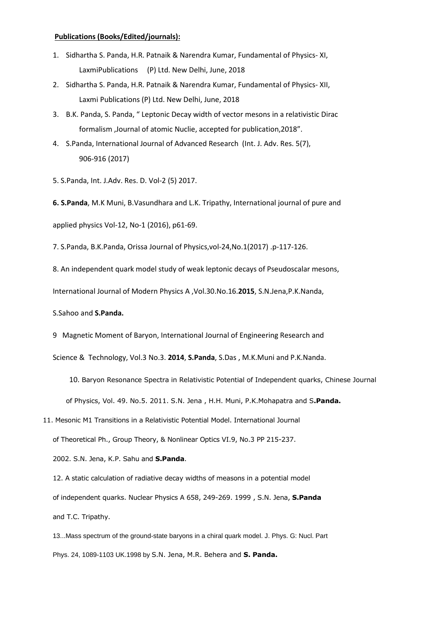## **Publications (Books/Edited/journals):**

- 1. Sidhartha S. Panda, H.R. Patnaik & Narendra Kumar, Fundamental of Physics- XI, LaxmiPublications (P) Ltd. New Delhi, June, 2018
- 2. Sidhartha S. Panda, H.R. Patnaik & Narendra Kumar, Fundamental of Physics- XII, Laxmi Publications (P) Ltd. New Delhi, June, 2018
- 3. B.K. Panda, S. Panda, " Leptonic Decay width of vector mesons in a relativistic Dirac formalism ,Journal of atomic Nuclie, accepted for publication,2018".
- 4. S.Panda, International Journal of Advanced Research (Int. J. Adv. Res. 5(7), 906-916 (2017)
- 5. S.Panda, Int. J.Adv. Res. D. Vol-2 (5) 2017.

**6. S.Panda**, M.K Muni, B.Vasundhara and L.K. Tripathy, International journal of pure and applied physics Vol-12, No-1 (2016), p61-69.

7. S.Panda, B.K.Panda, Orissa Journal of Physics,vol-24,No.1(2017) .p-117-126.

8. An independent quark model study of weak leptonic decays of Pseudoscalar mesons,

International Journal of Modern Physics A ,Vol.30.No.16.**2015**, S.N.Jena,P.K.Nanda,

S.Sahoo and **S.Panda.**

9 Magnetic Moment of Baryon, International Journal of Engineering Research and

Science & Technology, Vol.3 No.3. **2014**, **S.Panda**, S.Das , M.K.Muni and P.K.Nanda.

10. Baryon Resonance Spectra in Relativistic Potential of Independent quarks, Chinese Journal of Physics, Vol. 49. No.5. 2011. S.N. Jena , H.H. Muni, P.K.Mohapatra and S**.Panda.**

11. Mesonic M1 Transitions in a Relativistic Potential Model. International Journal

of Theoretical Ph., Group Theory, & Nonlinear Optics VI.9, No.3 PP 215-237.

2002. S.N. Jena, K.P. Sahu and **S.Panda**.

12. A static calculation of radiative decay widths of measons in a potential model of independent quarks. Nuclear Physics A 658, 249-269. 1999 , S.N. Jena, **S.Panda**  and T.C. Tripathy.

13...Mass spectrum of the ground-state baryons in a chiral quark model. J. Phys. G: Nucl. Part Phys. 24, 1089-1103 UK.1998 by S.N. Jena, M.R. Behera and **S. Panda.**